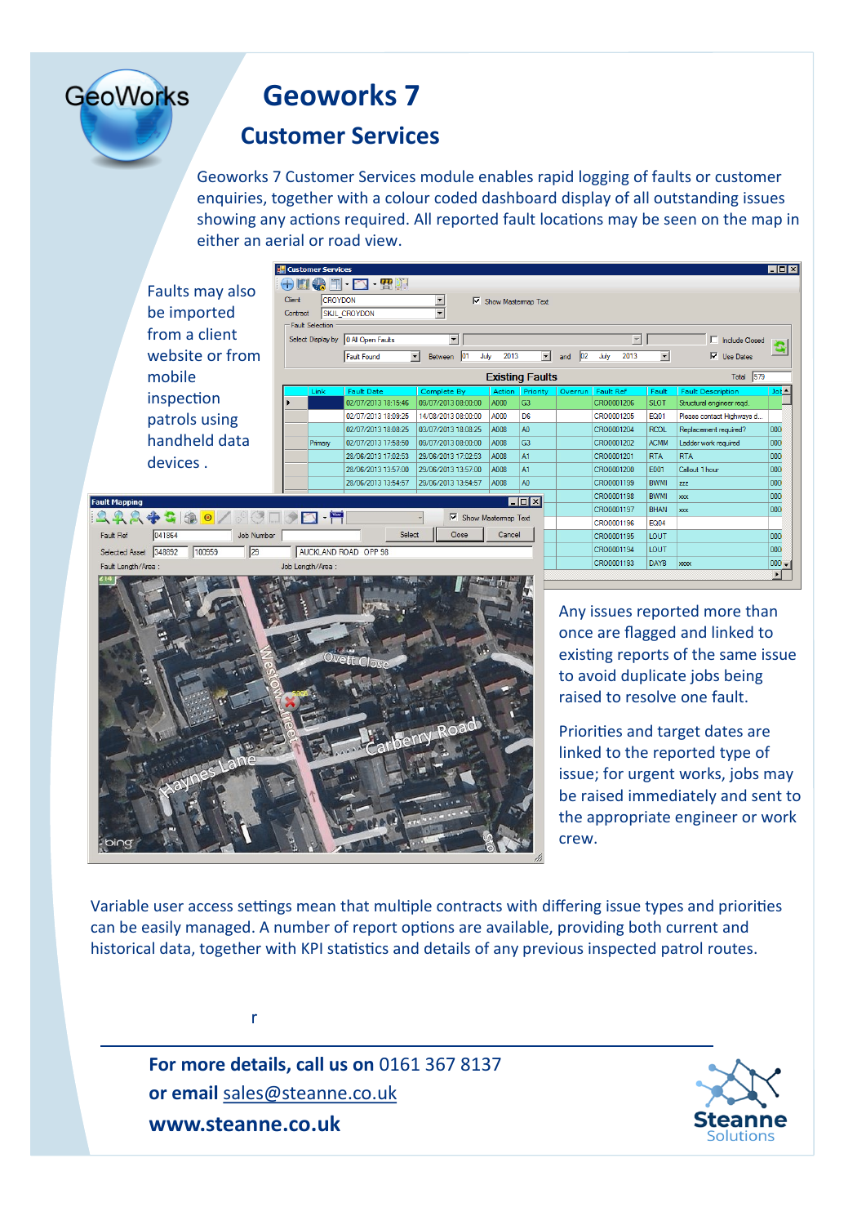# **Geoworks 7**

### **Customer Services**

CROYDO

SKIL CF **Fault Selection** Select Display by

Primary

AUCKLAND RO

GOSD P

Job Number

 $\overline{25}$ 

Contract

Geoworks 7 Customer Services module enables rapid logging of faults or customer enquiries, together with a colour coded dashboard display of all outstanding issues showing any actions required. All reported fault locations may be seen on the map in either an aerial or road view.

Faults may also be imported from a client website or from mobile inspection patrols using handheld data devices .

 $22950$ 

 $\sqrt{041864}$ 

Selected Asset 348892 100959

Fault Ref

**GeoWorks** 

|                                        |                                                       |                     |                          |            |                        |                          |                           | EO E             |
|----------------------------------------|-------------------------------------------------------|---------------------|--------------------------|------------|------------------------|--------------------------|---------------------------|------------------|
| $ \mathbf{E}$ ) $\mathbf{F}$           |                                                       |                     |                          |            |                        |                          |                           |                  |
| ١N                                     | $\blacktriangledown$<br>⊽                             | Show Mastermap Text |                          |            |                        |                          |                           |                  |
| <b>IOYDON</b>                          | $\overline{\phantom{0}}$                              |                     |                          |            |                        |                          |                           |                  |
|                                        |                                                       |                     |                          |            |                        |                          |                           |                  |
| All Open Faults                        | $\overline{\phantom{a}}$                              |                     |                          |            | $\overline{\mathbf v}$ |                          | <b>Include Closed</b>     |                  |
| ault Found<br>$\overline{\phantom{a}}$ | lo1<br><b>Between</b>                                 | 2013<br>July        | $\overline{\phantom{a}}$ | 02 <br>and | 2013<br>July           | $\overline{\phantom{a}}$ | ⊽<br><b>Use Dates</b>     |                  |
|                                        |                                                       |                     | <b>Existing Faults</b>   |            |                        |                          | Total 579                 |                  |
| ault Date                              | Complete By                                           | Action              | Priority                 | Overrun    | <b>Fault Ref</b>       | Fault                    | <b>Fault Description</b>  | $Jot \triangleq$ |
| 2/07/2013 18:15:46                     | 09/07/2013 08:00:00                                   | A000                | G <sub>3</sub>           |            | CRO0001206             | <b>SLOT</b>              | Structural engineer regd. |                  |
| 2/07/2013 18:09:25                     | 14/08/2013 08:00:00                                   | A000                | D <sub>6</sub>           |            | CRO0001205             | <b>EQ01</b>              | Please contact Highways d |                  |
| 2/07/2013 18:08:25                     | 03/07/2013 18:08:25                                   | A008                | A <sub>0</sub>           |            | CRO0001204             | <b>RCOL</b>              | Replacement required?     | 000              |
| 2/07/2013 17:58:50                     | 09/07/2013 08:00:00                                   | A008                | G <sub>3</sub>           |            | CRO0001202             | <b>ACMM</b>              | Ladder work required      | 000              |
| 8/06/2013 17:02:53                     | 29/06/2013 17:02:53                                   | A008                | A1                       |            | CRO0001201             | <b>RTA</b>               | <b>RTA</b>                | 000              |
| 8/06/2013 13:57:00                     | 29/06/2013 13:57:00                                   | A008                | A1                       |            | CRO0001200             | F001                     | Callout 1 hour            | 000              |
| 8/06/2013 13:54:57                     | 29/06/2013 13:54:57                                   | A008                | A <sub>0</sub>           |            | CRO0001199             | <b>BWMI</b>              | zzz                       | 000              |
|                                        |                                                       |                     | <b>MON</b>               |            | CRO0001198             | <b>BWMI</b>              | xxx                       | 000              |
|                                        |                                                       |                     |                          |            | CRO0001197             | <b>BHAN</b>              | $x\infty$                 | 000              |
|                                        | ⊽<br>Show Mastermap Text<br>CRO0001196<br><b>FQ04</b> |                     |                          |            |                        |                          |                           |                  |
| Select                                 | Close                                                 | Cancel              |                          |            | CRO0001195             | LOUT                     |                           | 000              |
| AD<br><b>OPP 98</b>                    |                                                       |                     |                          |            | CRO0001194             | LOUT                     |                           | 000              |
|                                        |                                                       |                     |                          |            | CRO0001193             | <b>DAYB</b>              | <b>xxxx</b>               | $000 -$          |
|                                        |                                                       |                     |                          |            |                        |                          |                           |                  |



Any issues reported more than once are flagged and linked to existing reports of the same issue to avoid duplicate jobs being raised to resolve one fault.

Priorities and target dates are linked to the reported type of issue; for urgent works, jobs may be raised immediately and sent to the appropriate engineer or work crew.

Variable user access settings mean that multiple contracts with differing issue types and priorities can be easily managed. A number of report options are available, providing both current and historical data, together with KPI statistics and details of any previous inspected patrol routes.

**For more details, call us on** 0161 367 8137 **or email** sales@steanne.co.uk **www.steanne.co.uk**

r